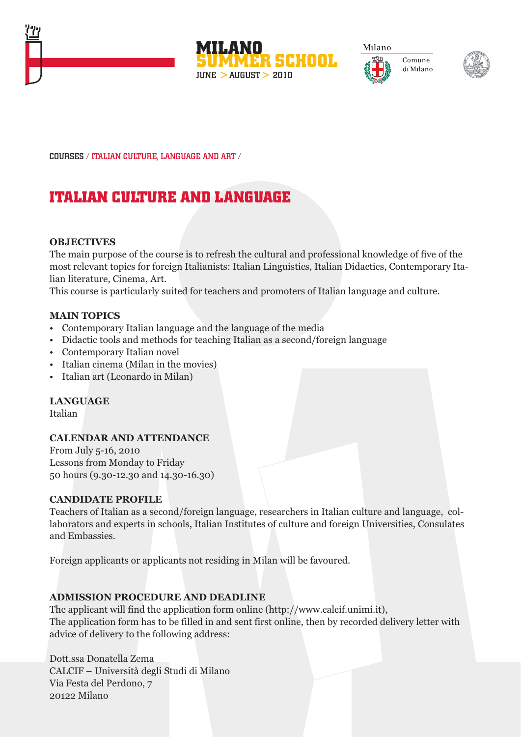







COURSES / ITALIAN CULTURE, LANGUAGE AND ART /

# **ITALIAN CULTURE AND LANGUAGE**

#### **OBJECTIVES**

The main purpose of the course is to refresh the cultural and professional knowledge of five of the most relevant topics for foreign Italianists: Italian Linguistics, Italian Didactics, Contemporary Italian literature, Cinema, Art.

This course is particularly suited for teachers and promoters of Italian language and culture.

#### **MAIN TOPICS**

- Contemporary Italian language and the language of the media
- Didactic tools and methods for teaching Italian as a second/foreign language
- Contemporary Italian novel
- Italian cinema (Milan in the movies)
- Italian art (Leonardo in Milan)

#### **LANGUAGE**

Italian

#### **CALENDAR AND ATTENDANCE**

From July 5-16, 2010 Lessons from Monday to Friday 50 hours (9.30-12.30 and 14.30-16.30)

#### **CANDIDATE PROFILE**

Teachers of Italian as a second/foreign language, researchers in Italian culture and language, collaborators and experts in schools, Italian Institutes of culture and foreign Universities, Consulates and Embassies.

Foreign applicants or applicants not residing in Milan will be favoured.

#### **ADMISSION PROCEDURE AND DEADLINE**

The applicant will find the application form online (http://www.calcif.unimi.it), The application form has to be filled in and sent first online, then by recorded delivery letter with advice of delivery to the following address:

Dott.ssa Donatella Zema CALCIF – Università degli Studi di Milano Via Festa del Perdono, 7 20122 Milano